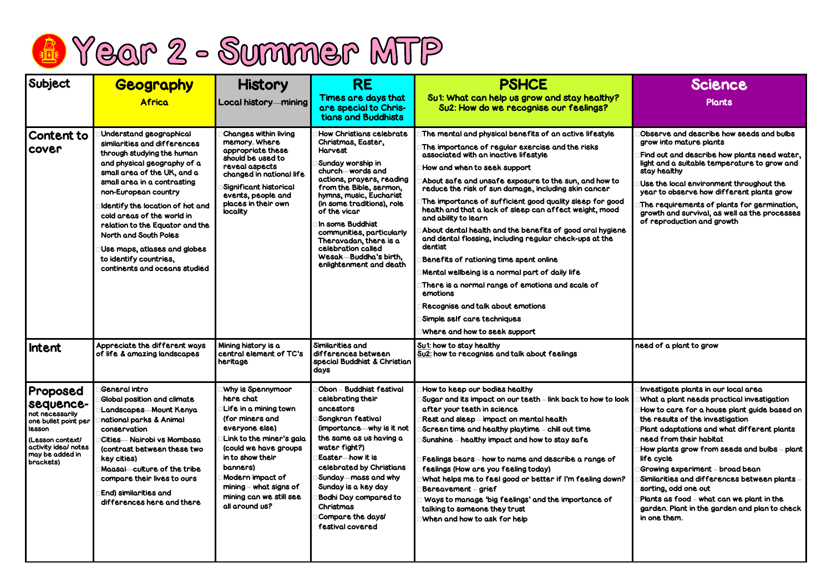

| Subject                                                                                                                                                | Geography<br><b>Africa</b>                                                                                                                                                                                                                                                                                                                                                                                                                 | <b>History</b><br>Local history-mining                                                                                                                                                                                                                                         | <b>RE</b><br><b>Times are days that</b><br>are special to Chris-<br>tians and Buddhists                                                                                                                                                                                                                                                                                                         | <b>PSHCE</b><br>Su1: What can help us grow and stay healthy?<br>Su2: How do we recognise our feelings?                                                                                                                                                                                                                                                                                                                                                                                                                                                                                                                                                                                                                                                                                                                                                     | <b>Science</b><br><b>Plants</b>                                                                                                                                                                                                                                                                                                                                                                                                                                                                                                                    |
|--------------------------------------------------------------------------------------------------------------------------------------------------------|--------------------------------------------------------------------------------------------------------------------------------------------------------------------------------------------------------------------------------------------------------------------------------------------------------------------------------------------------------------------------------------------------------------------------------------------|--------------------------------------------------------------------------------------------------------------------------------------------------------------------------------------------------------------------------------------------------------------------------------|-------------------------------------------------------------------------------------------------------------------------------------------------------------------------------------------------------------------------------------------------------------------------------------------------------------------------------------------------------------------------------------------------|------------------------------------------------------------------------------------------------------------------------------------------------------------------------------------------------------------------------------------------------------------------------------------------------------------------------------------------------------------------------------------------------------------------------------------------------------------------------------------------------------------------------------------------------------------------------------------------------------------------------------------------------------------------------------------------------------------------------------------------------------------------------------------------------------------------------------------------------------------|----------------------------------------------------------------------------------------------------------------------------------------------------------------------------------------------------------------------------------------------------------------------------------------------------------------------------------------------------------------------------------------------------------------------------------------------------------------------------------------------------------------------------------------------------|
| <b>Content to</b><br><b>COVER</b>                                                                                                                      | Understand geographical<br>similarities and differences<br>through studying the human<br>and physical geography of a<br>small area of the UK, and a<br>small area in a contrasting<br>non-European country<br>Identify the location of hot and<br>cold areas of the world in<br>relation to the Equator and the<br><b>North and South Poles</b><br>Use maps, atlases and globes<br>to identify countries,<br>continents and oceans studied | <b>Changes within living</b><br>memory. Where<br>appropriate these<br>should be used to<br>reveal aspects<br>changed in national life<br>Significant historical<br>events, people and<br>places in their own<br>locality                                                       | How Christians celebrate<br>Christmas, Easter,<br><b>Harvest</b><br>Sunday worship in<br>church-words and<br>actions, prayers, reading<br>from the Bible, sermon,<br>hymns, music, Eucharist<br>(in some traditions), role<br>of the vicar<br>In some Buddhist<br>communities, particularly<br>Theravadan, there is a<br>celebration called<br>Wesak-Buddha's birth,<br>enlightenment and death | The mental and physical benefits of an active lifestyle<br>The importance of regular exercise and the risks<br>associated with an inactive lifestyle<br>How and when to seek support<br>About safe and unsafe exposure to the sun, and how to<br>reduce the risk of sun damage, including skin cancer<br>The importance of sufficient good quality sleep for good<br>health and that a lack of sleep can affect weight, mood<br>and ability to learn<br>About dental health and the benefits of good oral hygiene<br>and dental flossing, including regular check-ups at the<br>dentist<br>Benefits of rationing time spent online<br>Mental wellbeing is a normal part of daily life<br>There is a normal range of emotions and scale of<br>emotions<br>Recognise and talk about emotions<br>Simple self care techniques<br>Where and how to seek support | Observe and describe how seeds and bulbs<br>grow into mature plants<br>Find out and describe how plants need water,<br>light and a suitable temperature to grow and<br>stay healthy<br>Use the local environment throughout the<br>year to observe how different plants grow<br>The requirements of plants for germination,<br>growth and survival, as well as the processes<br>of reproduction and growth                                                                                                                                         |
| Intent                                                                                                                                                 | Appreciate the different ways<br>of life & amazing landscapes                                                                                                                                                                                                                                                                                                                                                                              | Mining history is a<br>central element of TC's<br>heritage                                                                                                                                                                                                                     | Similarities and<br>differences between<br>special Buddhist & Christian<br>days                                                                                                                                                                                                                                                                                                                 | Su1: how to stay healthy<br>Su2: how to recognise and talk about feelings                                                                                                                                                                                                                                                                                                                                                                                                                                                                                                                                                                                                                                                                                                                                                                                  | need of a plant to grow                                                                                                                                                                                                                                                                                                                                                                                                                                                                                                                            |
| Proposed<br>sequence-<br>not necessarily<br>one bullet point per<br>lesson<br>(Lesson context/<br>activity ideal notes<br>may be added in<br>brackets) | <b>General intro</b><br><b>Global position and climate</b><br>Landscapes Mount Kenya<br>national parks & Animal<br>conservation<br>Cities - Nairobi vs Mombasa<br>(contrast between these two<br>key cities)<br>Maasai culture of the tribe<br>compare their lives to ours<br><b>End) similarities and</b><br>differences here and there                                                                                                   | Why is Spennymoor<br>here chat<br>Life in a mining town<br>(for miners and<br>everyone else)<br>Link to the miner's gala<br>(could we have groups<br>in to show their<br>banners)<br>Modern impact of<br>mining $-$ what signs of<br>mining can we still see<br>all around us? | Obon – Buddhist festival<br>celebrating their<br>ancestors<br>Songkran festival<br>(importance - why is it not<br>the same as us having a<br>water fight?)<br>Easter—how it is<br>celebrated by Christians<br>Sunday—mass and why<br>Sunday is a key day<br><b>Bodhi Day compared to</b><br>Christmas<br>Compare the days!<br>festival covered                                                  | How to keep our bodies healthy<br>Sugar and its impact on our teeth – link back to how to look<br>after your teeth in science<br>Rest and sleep – impact on mental health<br>Screen time and healthy playtime – chill out time<br>Sunshine – healthy impact and how to stay safe<br>Feelings bears – how to name and describe a range of<br>feelings (How are you feeling today)<br>What helps me to feel good or better if I'm feeling down?<br>Bereavement – grief<br>Ways to manage 'big feelings' and the importance of<br>talking to someone they trust<br>When and how to ask for help                                                                                                                                                                                                                                                               | Investigate plants in our local area<br>What a plant needs practical investigation<br>How to care for a house plant guide based on<br>the results of the investigation<br>Plant adaptations and what different plants<br>need from their habitat<br>How plants grow from seeds and bulbs – plant<br>life cycle<br>Growing experiment – broad bean<br>$\,$ Similarities and differences between plants $\,$ –<br>sorting, odd one out<br>Plants as food – what can we plant in the<br>garden. Plant in the garden and plan to check<br>in one them. |